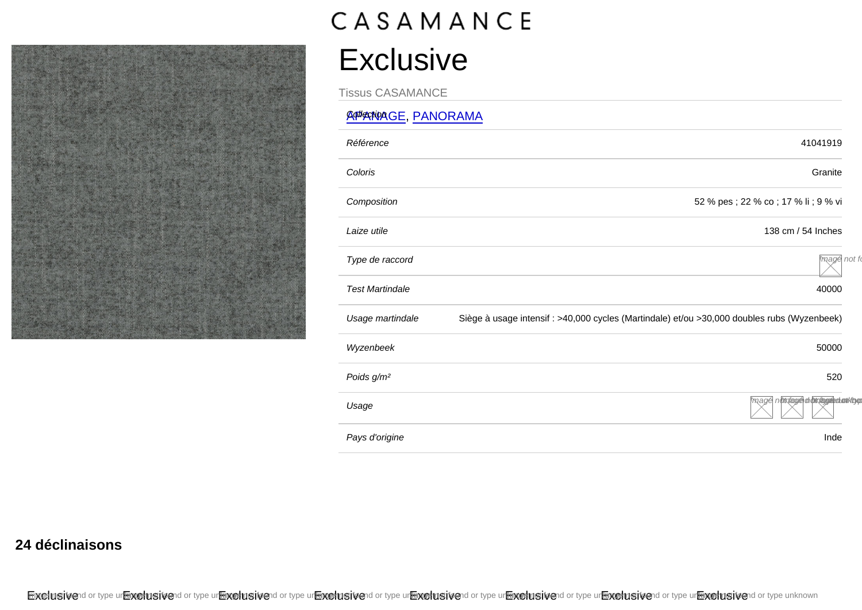## Exclusive

Tissus CASAMANCE

## **APPANAGE, [PANORAMA](/var/www/marque.texdecor.com/magento/pub/collections/single/view/id/5053/panorama)**

| Référence              | 41041919                                                                                    |
|------------------------|---------------------------------------------------------------------------------------------|
| Coloris                | Granite                                                                                     |
| Composition            | 52 % pes ; 22 % co ; 17 % li ; 9 % vi                                                       |
| Laize utile            | 138 cm / 54 Inches                                                                          |
| Type de raccord        | mage not fo                                                                                 |
| <b>Test Martindale</b> | 40000                                                                                       |
| Usage martindale       | Siège à usage intensif : >40,000 cycles (Martindale) et/ou >30,000 doubles rubs (Wyzenbeek) |
| Wyzenbeek              | 50000                                                                                       |
| Poids g/m <sup>2</sup> | 520                                                                                         |
| Usage                  | mage nottoage dobrageed on ktyp                                                             |
| Pays d'origine         | Inde                                                                                        |

24 déclinaisons

Exclusivend or type urknowing tvend or type urknowing tvend or type urknowing tvend or type urknowing tvend or type urknowing tvend or type urknowing tvend or type urknown